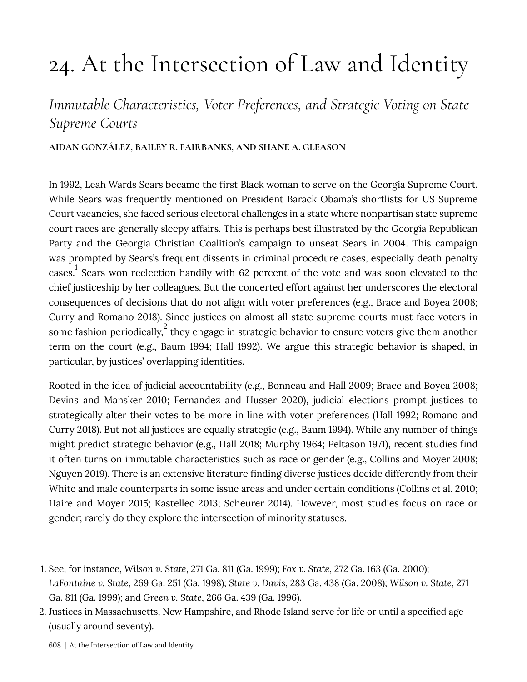# 24. At the Intersection of Law and Identity

# Immutable Characteristics, Voter Preferences, and Strategic Voting on State **Supreme Courts**

#### AIDAN GONZÁLEZ, BAILEY R. FAIRBANKS, AND SHANE A. GLEASON

In 1992, Leah Wards Sears became the first Black woman to serve on the Georgia Supreme Court. While Sears was frequently mentioned on President Barack Obama's shortlists for US Supreme Court vacancies, she faced serious electoral challenges in a state where nonpartisan state supreme court races are generally sleepy affairs. This is perhaps best illustrated by the Georgia Republican Party and the Georgia Christian Coalition's campaign to unseat Sears in 2004. This campaign was prompted by Sears's frequent dissents in criminal procedure cases, especially death penalty cases.<sup>1</sup> Sears won reelection handily with 62 percent of the vote and was soon elevated to the chief justiceship by her colleagues. But the concerted effort against her underscores the electoral consequences of decisions that do not align with voter preferences (e.g., Brace and Boyea 2008; Curry and Romano 2018). Since justices on almost all state supreme courts must face voters in some fashion periodically,  $\frac{2}{3}$  they engage in strategic behavior to ensure voters give them another term on the court (e.g., Baum 1994; Hall 1992). We argue this strategic behavior is shaped, in particular, by justices' overlapping identities.

Rooted in the idea of judicial accountability (e.g., Bonneau and Hall 2009; Brace and Boyea 2008; Devins and Mansker 2010; Fernandez and Husser 2020), judicial elections prompt justices to strategically alter their votes to be more in line with voter preferences (Hall 1992; Romano and Curry 2018). But not all justices are equally strategic (e.g., Baum 1994). While any number of things might predict strategic behavior (e.g., Hall 2018; Murphy 1964; Peltason 1971), recent studies find it often turns on immutable characteristics such as race or gender (e.g., Collins and Moyer 2008; Nguyen 2019). There is an extensive literature finding diverse justices decide differently from their White and male counterparts in some issue areas and under certain conditions (Collins et al. 2010; Haire and Moyer 2015; Kastellec 2013; Scheurer 2014). However, most studies focus on race or gender; rarely do they explore the intersection of minority statuses.

2. Justices in Massachusetts, New Hampshire, and Rhode Island serve for life or until a specified age (usually around seventy).

<sup>1.</sup> See, for instance, Wilson v. State, 271 Ga. 811 (Ga. 1999); Fox v. State, 272 Ga. 163 (Ga. 2000); LaFontaine v. State, 269 Ga. 251 (Ga. 1998); State v. Davis, 283 Ga. 438 (Ga. 2008); Wilson v. State, 271 Ga. 811 (Ga. 1999); and Green v. State, 266 Ga. 439 (Ga. 1996).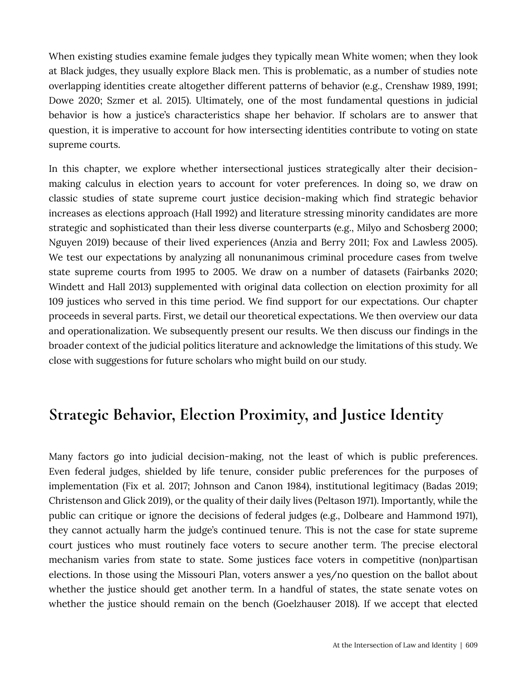When existing studies examine female judges they typically mean White women; when they look at Black judges, they usually explore Black men. This is problematic, as a number of studies note overlapping identities create altogether different patterns of behavior (e.g., Crenshaw 1989, 1991; Dowe 2020; Szmer et al. 2015). Ultimately, one of the most fundamental questions in judicial behavior is how a justice's characteristics shape her behavior. If scholars are to answer that question, it is imperative to account for how intersecting identities contribute to voting on state supreme courts.

In this chapter, we explore whether intersectional justices strategically alter their decisionmaking calculus in election years to account for voter preferences. In doing so, we draw on classic studies of state supreme court justice decision-making which find strategic behavior increases as elections approach (Hall 1992) and literature stressing minority candidates are more strategic and sophisticated than their less diverse counterparts (e.g., Milyo and Schosberg 2000; Nguyen 2019) because of their lived experiences (Anzia and Berry 2011; Fox and Lawless 2005). We test our expectations by analyzing all nonunanimous criminal procedure cases from twelve state supreme courts from 1995 to 2005. We draw on a number of datasets (Fairbanks 2020; Windett and Hall 2013) supplemented with original data collection on election proximity for all 109 justices who served in this time period. We find support for our expectations. Our chapter proceeds in several parts. First, we detail our theoretical expectations. We then overview our data and operationalization. We subsequently present our results. We then discuss our findings in the broader context of the judicial politics literature and acknowledge the limitations of this study. We close with suggestions for future scholars who might build on our study.

#### Strategic Behavior, Election Proximity, and Justice Identity

Many factors go into judicial decision-making, not the least of which is public preferences. Even federal judges, shielded by life tenure, consider public preferences for the purposes of implementation (Fix et al. 2017; Johnson and Canon 1984), institutional legitimacy (Badas 2019; Christenson and Glick 2019), or the quality of their daily lives (Peltason 1971). Importantly, while the public can critique or ignore the decisions of federal judges (e.g., Dolbeare and Hammond 1971), they cannot actually harm the judge's continued tenure. This is not the case for state supreme court justices who must routinely face voters to secure another term. The precise electoral mechanism varies from state to state. Some justices face voters in competitive (non)partisan elections. In those using the Missouri Plan, voters answer a yes/no question on the ballot about whether the justice should get another term. In a handful of states, the state senate votes on whether the justice should remain on the bench (Goelzhauser 2018). If we accept that elected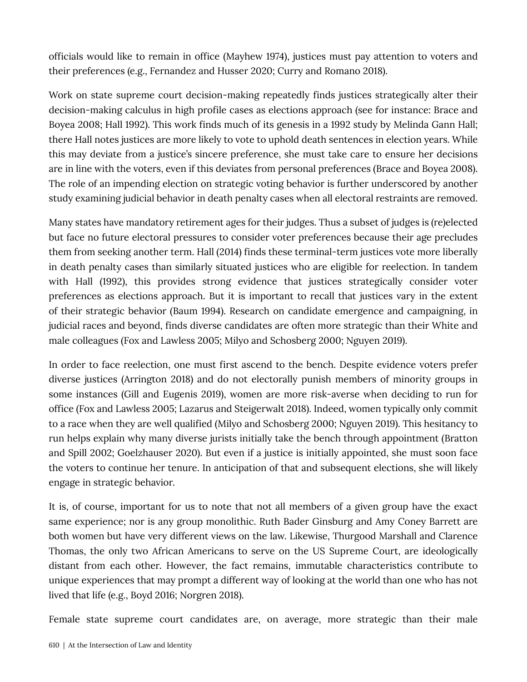officials would like to remain in office (Mayhew 1974), justices must pay attention to voters and their preferences (e.g., Fernandez and Husser 2020; Curry and Romano 2018).

Work on state supreme court decision-making repeatedly finds justices strategically alter their decision-making calculus in high profile cases as elections approach (see for instance: Brace and Boyea 2008; Hall 1992). This work finds much of its genesis in a 1992 study by Melinda Gann Hall; there Hall notes justices are more likely to vote to uphold death sentences in election years. While this may deviate from a justice's sincere preference, she must take care to ensure her decisions are in line with the voters, even if this deviates from personal preferences (Brace and Boyea 2008). The role of an impending election on strategic voting behavior is further underscored by another study examining judicial behavior in death penalty cases when all electoral restraints are removed.

Many states have mandatory retirement ages for their judges. Thus a subset of judges is (re)elected but face no future electoral pressures to consider voter preferences because their age precludes them from seeking another term. Hall (2014) finds these terminal-term justices vote more liberally in death penalty cases than similarly situated justices who are eligible for reelection. In tandem with Hall (1992), this provides strong evidence that justices strategically consider voter preferences as elections approach. But it is important to recall that justices vary in the extent of their strategic behavior (Baum 1994). Research on candidate emergence and campaigning, in judicial races and beyond, finds diverse candidates are often more strategic than their White and male colleagues (Fox and Lawless 2005; Milyo and Schosberg 2000; Nguyen 2019).

In order to face reelection, one must first ascend to the bench. Despite evidence voters prefer diverse justices (Arrington 2018) and do not electorally punish members of minority groups in some instances (Gill and Eugenis 2019), women are more risk-averse when deciding to run for office (Fox and Lawless 2005; Lazarus and Steigerwalt 2018). Indeed, women typically only commit to a race when they are well qualified (Milyo and Schosberg 2000; Nguyen 2019). This hesitancy to run helps explain why many diverse jurists initially take the bench through appointment (Bratton and Spill 2002; Goelzhauser 2020). But even if a justice is initially appointed, she must soon face the voters to continue her tenure. In anticipation of that and subsequent elections, she will likely engage in strategic behavior.

It is, of course, important for us to note that not all members of a given group have the exact same experience; nor is any group monolithic. Ruth Bader Ginsburg and Amy Coney Barrett are both women but have very different views on the law. Likewise, Thurgood Marshall and Clarence Thomas, the only two African Americans to serve on the US Supreme Court, are ideologically distant from each other. However, the fact remains, immutable characteristics contribute to unique experiences that may prompt a different way of looking at the world than one who has not lived that life (e.g., Boyd 2016; Norgren 2018).

Female state supreme court candidates are, on average, more strategic than their male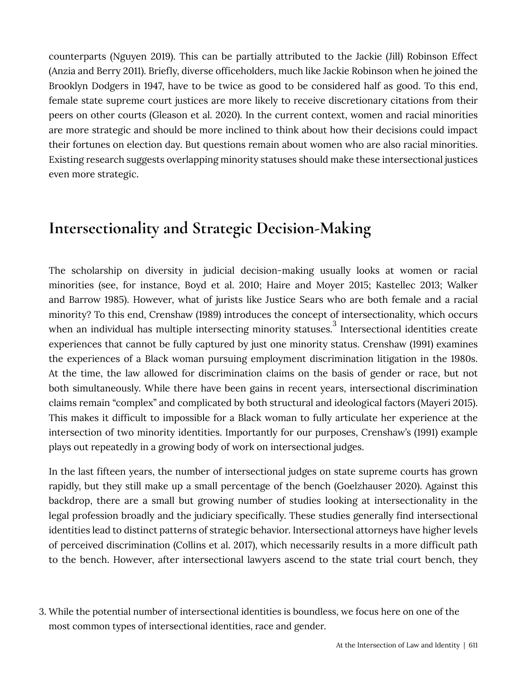counterparts (Nguyen 2019). This can be partially attributed to the Jackie (Jill) Robinson Effect (Anzia and Berry 2011). Briefly, diverse officeholders, much like Jackie Robinson when he joined the Brooklyn Dodgers in 1947, have to be twice as good to be considered half as good. To this end, female state supreme court justices are more likely to receive discretionary citations from their peers on other courts (Gleason et al. 2020). In the current context, women and racial minorities are more strategic and should be more inclined to think about how their decisions could impact their fortunes on election day. But questions remain about women who are also racial minorities. Existing research suggests overlapping minority statuses should make these intersectional justices even more strategic.

#### Intersectionality and Strategic Decision-Making

The scholarship on diversity in judicial decision-making usually looks at women or racial minorities (see, for instance, Boyd et al. 2010; Haire and Moyer 2015; Kastellec 2013; Walker and Barrow 1985). However, what of jurists like Justice Sears who are both female and a racial minority? To this end, Crenshaw (1989) introduces the concept of intersectionality, which occurs when an individual has multiple intersecting minority statuses.<sup>3</sup> Intersectional identities create experiences that cannot be fully captured by just one minority status. Crenshaw (1991) examines the experiences of a Black woman pursuing employment discrimination litigation in the 1980s. At the time, the law allowed for discrimination claims on the basis of gender or race, but not both simultaneously. While there have been gains in recent years, intersectional discrimination claims remain "complex" and complicated by both structural and ideological factors (Mayeri 2015). This makes it difficult to impossible for a Black woman to fully articulate her experience at the intersection of two minority identities. Importantly for our purposes, Crenshaw's (1991) example plays out repeatedly in a growing body of work on intersectional judges.

In the last fifteen years, the number of intersectional judges on state supreme courts has grown rapidly, but they still make up a small percentage of the bench (Goelzhauser 2020). Against this backdrop, there are a small but growing number of studies looking at intersectionality in the legal profession broadly and the judiciary specifically. These studies generally find intersectional identities lead to distinct patterns of strategic behavior. Intersectional attorneys have higher levels of perceived discrimination (Collins et al. 2017), which necessarily results in a more difficult path to the bench. However, after intersectional lawyers ascend to the state trial court bench, they

3. While the potential number of intersectional identities is boundless, we focus here on one of the most common types of intersectional identities, race and gender.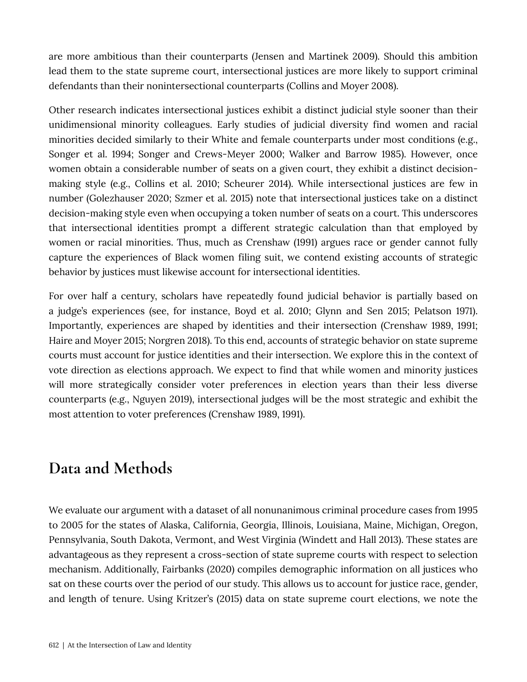are more ambitious than their counterparts (Jensen and Martinek 2009). Should this ambition lead them to the state supreme court, intersectional justices are more likely to support criminal defendants than their nonintersectional counterparts (Collins and Moyer 2008).

Other research indicates intersectional justices exhibit a distinct judicial style sooner than their unidimensional minority colleagues. Early studies of judicial diversity find women and racial minorities decided similarly to their White and female counterparts under most conditions (e.g., Songer et al. 1994; Songer and Crews-Meyer 2000; Walker and Barrow 1985). However, once women obtain a considerable number of seats on a given court, they exhibit a distinct decisionmaking style (e.g., Collins et al. 2010; Scheurer 2014). While intersectional justices are few in number (Golezhauser 2020; Szmer et al. 2015) note that intersectional justices take on a distinct decision-making style even when occupying a token number of seats on a court. This underscores that intersectional identities prompt a different strategic calculation than that employed by women or racial minorities. Thus, much as Crenshaw (1991) argues race or gender cannot fully capture the experiences of Black women filing suit, we contend existing accounts of strategic behavior by justices must likewise account for intersectional identities.

For over half a century, scholars have repeatedly found judicial behavior is partially based on a judge's experiences (see, for instance, Boyd et al. 2010; Glynn and Sen 2015; Pelatson 1971). Importantly, experiences are shaped by identities and their intersection (Crenshaw 1989, 1991; Haire and Moyer 2015; Norgren 2018). To this end, accounts of strategic behavior on state supreme courts must account for justice identities and their intersection. We explore this in the context of vote direction as elections approach. We expect to find that while women and minority justices will more strategically consider voter preferences in election years than their less diverse counterparts (e.g., Nguyen 2019), intersectional judges will be the most strategic and exhibit the most attention to voter preferences (Crenshaw 1989, 1991).

## Data and Methods

We evaluate our argument with a dataset of all nonunanimous criminal procedure cases from 1995 to 2005 for the states of Alaska, California, Georgia, Illinois, Louisiana, Maine, Michigan, Oregon, Pennsylvania, South Dakota, Vermont, and West Virginia (Windett and Hall 2013). These states are advantageous as they represent a cross-section of state supreme courts with respect to selection mechanism. Additionally, Fairbanks (2020) compiles demographic information on all justices who sat on these courts over the period of our study. This allows us to account for justice race, gender, and length of tenure. Using Kritzer's (2015) data on state supreme court elections, we note the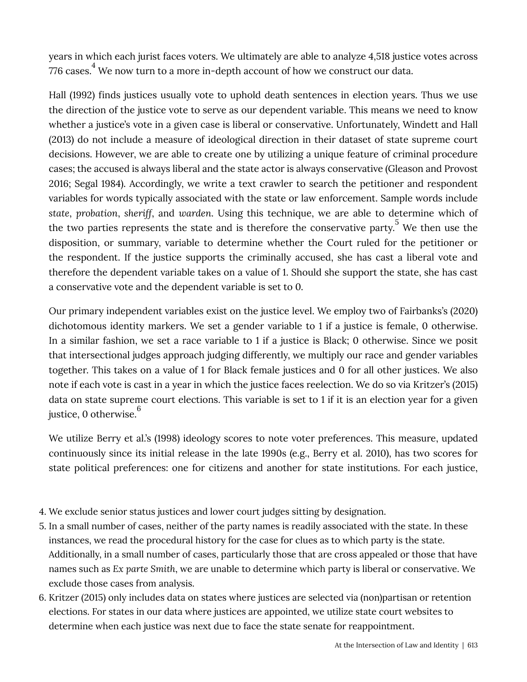years in which each jurist faces voters. We ultimately are able to analyze 4,518 justice votes across 776 cases.<sup>4</sup> We now turn to a more in-depth account of how we construct our data.

Hall (1992) finds justices usually vote to uphold death sentences in election years. Thus we use the direction of the justice vote to serve as our dependent variable. This means we need to know whether a justice's vote in a given case is liberal or conservative. Unfortunately, Windett and Hall (2013) do not include a measure of ideological direction in their dataset of state supreme court decisions. However, we are able to create one by utilizing a unique feature of criminal procedure cases; the accused is always liberal and the state actor is always conservative (Gleason and Provost 2016; Segal 1984). Accordingly, we write a text crawler to search the petitioner and respondent variables for words typically associated with the state or law enforcement. Sample words include *state*, *probation*, *sheriff*, and *warden*. Using this technique, we are able to determine which of the two parties represents the state and is therefore the conservative party.<sup>5</sup> We then use the disposition, or summary, variable to determine whether the Court ruled for the petitioner or the respondent. If the justice supports the criminally accused, she has cast a liberal vote and therefore the dependent variable takes on a value of 1. Should she support the state, she has cast a conservative vote and the dependent variable is set to 0.

Our primary independent variables exist on the justice level. We employ two of Fairbanks's (2020) dichotomous identity markers. We set a gender variable to 1 if a justice is female, 0 otherwise. In a similar fashion, we set a race variable to 1 if a justice is Black; 0 otherwise. Since we posit that intersectional judges approach judging differently, we multiply our race and gender variables together. This takes on a value of 1 for Black female justices and 0 for all other justices. We also note if each vote is cast in a year in which the justice faces reelection. We do so via Kritzer's (2015) data on state supreme court elections. This variable is set to 1 if it is an election year for a given justice, 0 otherwise.<sup>6</sup>

We utilize Berry et al.'s (1998) ideology scores to note voter preferences. This measure, updated continuously since its initial release in the late 1990s (e.g., Berry et al. 2010), has two scores for state political preferences: one for citizens and another for state institutions. For each justice,

- 4. We exclude senior status justices and lower court judges sitting by designation.
- 5. In a small number of cases, neither of the party names is readily associated with the state. In these instances, we read the procedural history for the case for clues as to which party is the state. Additionally, in a small number of cases, particularly those that are cross appealed or those that have names such as *Ex parte Smith*, we are unable to determine which party is liberal or conservative. We exclude those cases from analysis.
- 6. Kritzer (2015) only includes data on states where justices are selected via (non)partisan or retention elections. For states in our data where justices are appointed, we utilize state court websites to determine when each justice was next due to face the state senate for reappointment.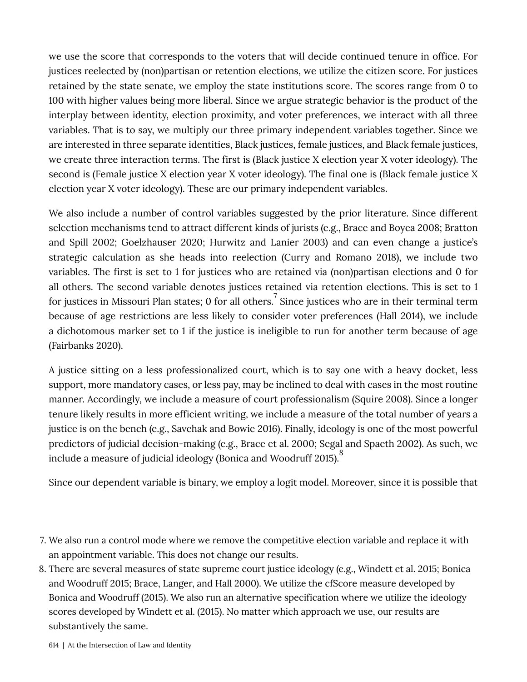we use the score that corresponds to the voters that will decide continued tenure in office. For justices reelected by (non)partisan or retention elections, we utilize the citizen score. For justices retained by the state senate, we employ the state institutions score. The scores range from 0 to 100 with higher values being more liberal. Since we argue strategic behavior is the product of the interplay between identity, election proximity, and voter preferences, we interact with all three variables. That is to say, we multiply our three primary independent variables together. Since we are interested in three separate identities, Black justices, female justices, and Black female justices, we create three interaction terms. The first is (Black justice X election year X voter ideology). The second is (Female justice X election year X voter ideology). The final one is (Black female justice X election year X voter ideology). These are our primary independent variables.

We also include a number of control variables suggested by the prior literature. Since different selection mechanisms tend to attract different kinds of jurists (e.g., Brace and Boyea 2008; Bratton and Spill 2002; Goelzhauser 2020; Hurwitz and Lanier 2003) and can even change a justice's strategic calculation as she heads into reelection (Curry and Romano 2018), we include two variables. The first is set to 1 for justices who are retained via (non)partisan elections and 0 for all others. The second variable denotes justices retained via retention elections. This is set to 1 for justices in Missouri Plan states; 0 for all others. $^7$  Since justices who are in their terminal term because of age restrictions are less likely to consider voter preferences (Hall 2014), we include a dichotomous marker set to 1 if the justice is ineligible to run for another term because of age (Fairbanks 2020).

A justice sitting on a less professionalized court, which is to say one with a heavy docket, less support, more mandatory cases, or less pay, may be inclined to deal with cases in the most routine manner. Accordingly, we include a measure of court professionalism (Squire 2008). Since a longer tenure likely results in more efficient writing, we include a measure of the total number of years a justice is on the bench (e.g., Savchak and Bowie 2016). Finally, ideology is one of the most powerful predictors of judicial decision-making (e.g., Brace et al. 2000; Segal and Spaeth 2002). As such, we include a measure of judicial ideology (Bonica and Woodruff 2015).

Since our dependent variable is binary, we employ a logit model. Moreover, since it is possible that

- 7. We also run a control mode where we remove the competitive election variable and replace it with an appointment variable. This does not change our results.
- 8. There are several measures of state supreme court justice ideology (e.g., Windett et al. 2015; Bonica and Woodruff 2015; Brace, Langer, and Hall 2000). We utilize the cfScore measure developed by Bonica and Woodruff (2015). We also run an alternative specification where we utilize the ideology scores developed by Windett et al. (2015). No matter which approach we use, our results are substantively the same.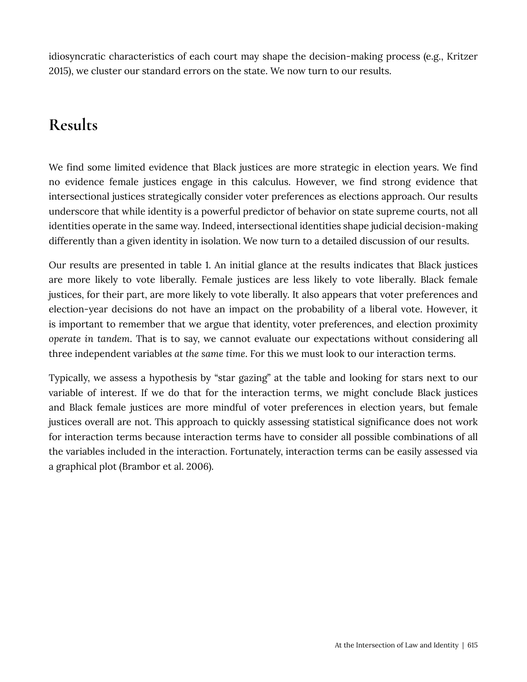idiosyncratic characteristics of each court may shape the decision-making process (e.g., Kritzer 2015), we cluster our standard errors on the state. We now turn to our results.

# **Results**

We find some limited evidence that Black justices are more strategic in election years. We find no evidence female justices engage in this calculus. However, we find strong evidence that intersectional justices strategically consider voter preferences as elections approach. Our results underscore that while identity is a powerful predictor of behavior on state supreme courts, not all identities operate in the same way. Indeed, intersectional identities shape judicial decision-making differently than a given identity in isolation. We now turn to a detailed discussion of our results.

Our results are presented in table 1. An initial glance at the results indicates that Black justices are more likely to vote liberally. Female justices are less likely to vote liberally. Black female justices, for their part, are more likely to vote liberally. It also appears that voter preferences and election-year decisions do not have an impact on the probability of a liberal vote. However, it is important to remember that we argue that identity, voter preferences, and election proximity *operate in tandem*. That is to say, we cannot evaluate our expectations without considering all three independent variables *at the same time*. For this we must look to our interaction terms.

Typically, we assess a hypothesis by "star gazing" at the table and looking for stars next to our variable of interest. If we do that for the interaction terms, we might conclude Black justices and Black female justices are more mindful of voter preferences in election years, but female justices overall are not. This approach to quickly assessing statistical significance does not work for interaction terms because interaction terms have to consider all possible combinations of all the variables included in the interaction. Fortunately, interaction terms can be easily assessed via a graphical plot (Brambor et al. 2006).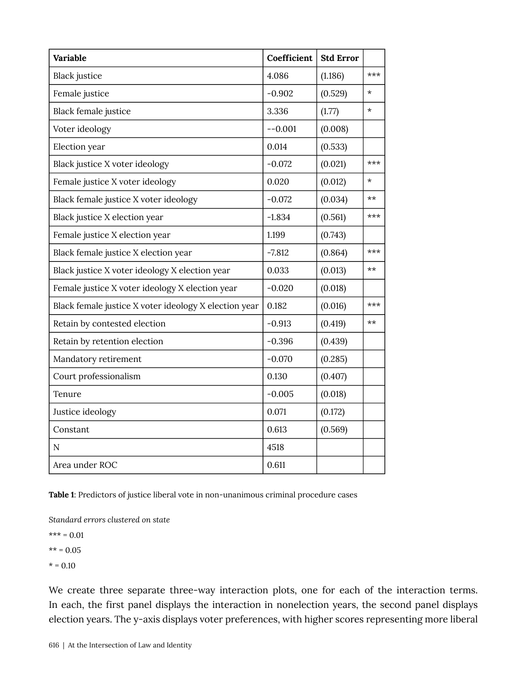| Variable                                              | Coefficient | <b>Std Error</b> |         |
|-------------------------------------------------------|-------------|------------------|---------|
| <b>Black</b> justice                                  | 4.086       | (1.186)          | ***     |
| Female justice                                        | $-0.902$    | (0.529)          | $\star$ |
| <b>Black female justice</b>                           | 3.336       | (1.77)           | $\star$ |
| Voter ideology                                        | $-0.001$    | (0.008)          |         |
| Election year                                         | 0.014       | (0.533)          |         |
| Black justice X voter ideology                        | $-0.072$    | (0.021)          | $***$   |
| Female justice X voter ideology                       | 0.020       | (0.012)          | $\star$ |
| Black female justice X voter ideology                 | $-0.072$    | (0.034)          | $***$   |
| Black justice X election year                         | $-1.834$    | (0.561)          | ***     |
| Female justice X election year                        | 1.199       | (0.743)          |         |
| Black female justice X election year                  | $-7.812$    | (0.864)          | $***$   |
| Black justice X voter ideology X election year        | 0.033       | (0.013)          | $**$    |
| Female justice X voter ideology X election year       | $-0.020$    | (0.018)          |         |
| Black female justice X voter ideology X election year | 0.182       | (0.016)          | $***$   |
| Retain by contested election                          | $-0.913$    | (0.419)          | $***$   |
| Retain by retention election                          | $-0.396$    | (0.439)          |         |
| Mandatory retirement                                  | $-0.070$    | (0.285)          |         |
| Court professionalism                                 | 0.130       | (0.407)          |         |
| Tenure                                                | $-0.005$    | (0.018)          |         |
| Justice ideology                                      | 0.071       | (0.172)          |         |
| Constant                                              | 0.613       | (0.569)          |         |
| $\mathbf N$                                           | 4518        |                  |         |
| Area under ROC                                        | 0.611       |                  |         |

Table 1: Predictors of justice liberal vote in non-unanimous criminal procedure cases

*Standard errors clustered on state*

 $*** = 0.01$ 

 $** = 0.05$ 

 $* = 0.10$ 

We create three separate three-way interaction plots, one for each of the interaction terms. In each, the first panel displays the interaction in nonelection years, the second panel displays election years. The y-axis displays voter preferences, with higher scores representing more liberal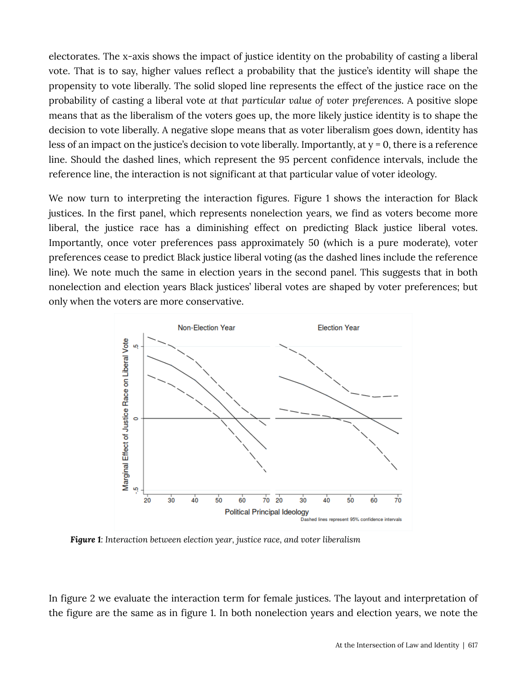electorates. The x-axis shows the impact of justice identity on the probability of casting a liberal vote. That is to say, higher values reflect a probability that the justice's identity will shape the propensity to vote liberally. The solid sloped line represents the effect of the justice race on the probability of casting a liberal vote *at that particular value of voter preferences*. A positive slope means that as the liberalism of the voters goes up, the more likely justice identity is to shape the decision to vote liberally. A negative slope means that as voter liberalism goes down, identity has less of an impact on the justice's decision to vote liberally. Importantly, at y = 0, there is a reference line. Should the dashed lines, which represent the 95 percent confidence intervals, include the reference line, the interaction is not significant at that particular value of voter ideology.

We now turn to interpreting the interaction figures. Figure 1 shows the interaction for Black justices. In the first panel, which represents nonelection years, we find as voters become more liberal, the justice race has a diminishing effect on predicting Black justice liberal votes. Importantly, once voter preferences pass approximately 50 (which is a pure moderate), voter preferences cease to predict Black justice liberal voting (as the dashed lines include the reference line). We note much the same in election years in the second panel. This suggests that in both nonelection and election years Black justices' liberal votes are shaped by voter preferences; but only when the voters are more conservative.



*Figure 1: Interaction between election year, justice race, and voter liberalism* 

In figure 2 we evaluate the interaction term for female justices. The layout and interpretation of the figure are the same as in figure 1. In both nonelection years and election years, we note the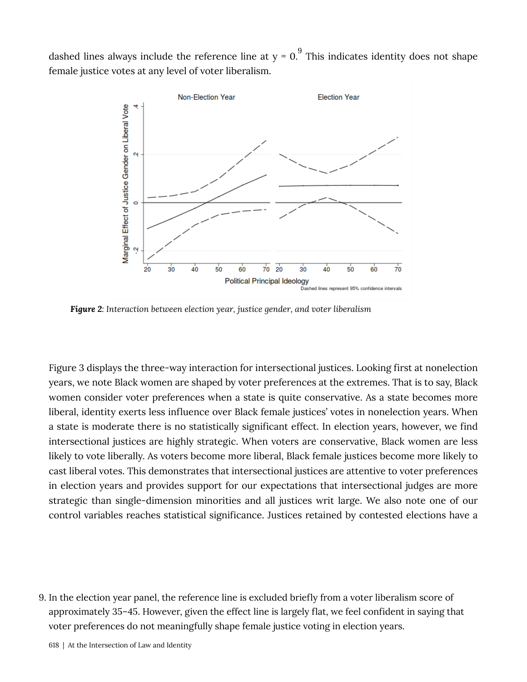dashed lines always include the reference line at  $y = 0$ . This indicates identity does not shape female justice votes at any level of voter liberalism.



*��������: Interaction between election year, justice gender, and voter liberalism*

Figure 3 displays the three-way interaction for intersectional justices. Looking first at nonelection years, we note Black women are shaped by voter preferences at the extremes. That is to say, Black women consider voter preferences when a state is quite conservative. As a state becomes more liberal, identity exerts less influence over Black female justices' votes in nonelection years. When a state is moderate there is no statistically significant effect. In election years, however, we find intersectional justices are highly strategic. When voters are conservative, Black women are less likely to vote liberally. As voters become more liberal, Black female justices become more likely to cast liberal votes. This demonstrates that intersectional justices are attentive to voter preferences in election years and provides support for our expectations that intersectional judges are more strategic than single-dimension minorities and all justices writ large. We also note one of our control variables reaches statistical significance. Justices retained by contested elections have a

9. In the election year panel, the reference line is excluded briefly from a voter liberalism score of approximately 35–45. However, given the effect line is largely flat, we feel confident in saying that voter preferences do not meaningfully shape female justice voting in election years.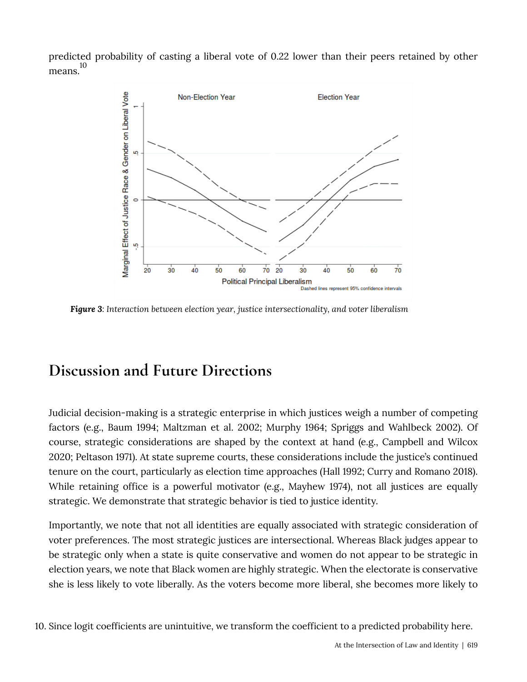predicted probability of casting a liberal vote of 0.22 lower than their peers retained by other means. 10



*��������: Interaction between election year, justice intersectionality, and voter liberalism*

#### Discussion and Future Directions

Judicial decision-making is a strategic enterprise in which justices weigh a number of competing factors (e.g., Baum 1994; Maltzman et al. 2002; Murphy 1964; Spriggs and Wahlbeck 2002). Of course, strategic considerations are shaped by the context at hand (e.g., Campbell and Wilcox 2020; Peltason 1971). At state supreme courts, these considerations include the justice's continued tenure on the court, particularly as election time approaches (Hall 1992; Curry and Romano 2018). While retaining office is a powerful motivator (e.g., Mayhew 1974), not all justices are equally strategic. We demonstrate that strategic behavior is tied to justice identity.

Importantly, we note that not all identities are equally associated with strategic consideration of voter preferences. The most strategic justices are intersectional. Whereas Black judges appear to be strategic only when a state is quite conservative and women do not appear to be strategic in election years, we note that Black women are highly strategic. When the electorate is conservative she is less likely to vote liberally. As the voters become more liberal, she becomes more likely to

10. Since logit coefficients are unintuitive, we transform the coefficient to a predicted probability here.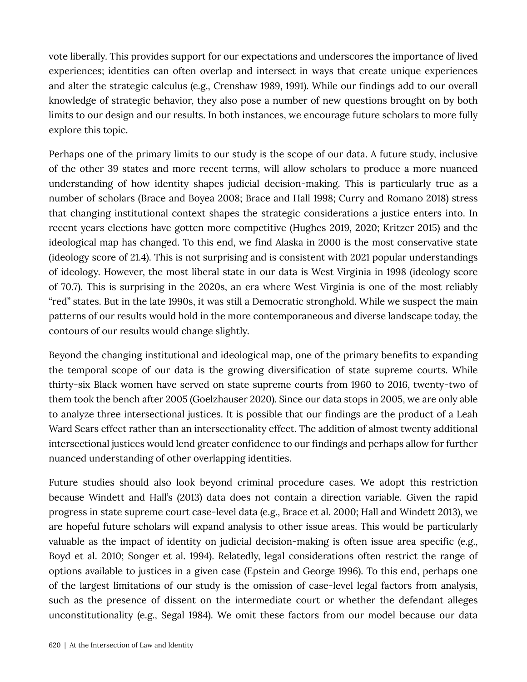vote liberally. This provides support for our expectations and underscores the importance of lived experiences; identities can often overlap and intersect in ways that create unique experiences and alter the strategic calculus (e.g., Crenshaw 1989, 1991). While our findings add to our overall knowledge of strategic behavior, they also pose a number of new questions brought on by both limits to our design and our results. In both instances, we encourage future scholars to more fully explore this topic.

Perhaps one of the primary limits to our study is the scope of our data. A future study, inclusive of the other 39 states and more recent terms, will allow scholars to produce a more nuanced understanding of how identity shapes judicial decision-making. This is particularly true as a number of scholars (Brace and Boyea 2008; Brace and Hall 1998; Curry and Romano 2018) stress that changing institutional context shapes the strategic considerations a justice enters into. In recent years elections have gotten more competitive (Hughes 2019, 2020; Kritzer 2015) and the ideological map has changed. To this end, we find Alaska in 2000 is the most conservative state (ideology score of 21.4). This is not surprising and is consistent with 2021 popular understandings of ideology. However, the most liberal state in our data is West Virginia in 1998 (ideology score of 70.7). This is surprising in the 2020s, an era where West Virginia is one of the most reliably "red" states. But in the late 1990s, it was still a Democratic stronghold. While we suspect the main patterns of our results would hold in the more contemporaneous and diverse landscape today, the contours of our results would change slightly.

Beyond the changing institutional and ideological map, one of the primary benefits to expanding the temporal scope of our data is the growing diversification of state supreme courts. While thirty-six Black women have served on state supreme courts from 1960 to 2016, twenty-two of them took the bench after 2005 (Goelzhauser 2020). Since our data stops in 2005, we are only able to analyze three intersectional justices. It is possible that our findings are the product of a Leah Ward Sears effect rather than an intersectionality effect. The addition of almost twenty additional intersectional justices would lend greater confidence to our findings and perhaps allow for further nuanced understanding of other overlapping identities.

Future studies should also look beyond criminal procedure cases. We adopt this restriction because Windett and Hall's (2013) data does not contain a direction variable. Given the rapid progress in state supreme court case-level data (e.g., Brace et al. 2000; Hall and Windett 2013), we are hopeful future scholars will expand analysis to other issue areas. This would be particularly valuable as the impact of identity on judicial decision-making is often issue area specific (e.g., Boyd et al. 2010; Songer et al. 1994). Relatedly, legal considerations often restrict the range of options available to justices in a given case (Epstein and George 1996). To this end, perhaps one of the largest limitations of our study is the omission of case-level legal factors from analysis, such as the presence of dissent on the intermediate court or whether the defendant alleges unconstitutionality (e.g., Segal 1984). We omit these factors from our model because our data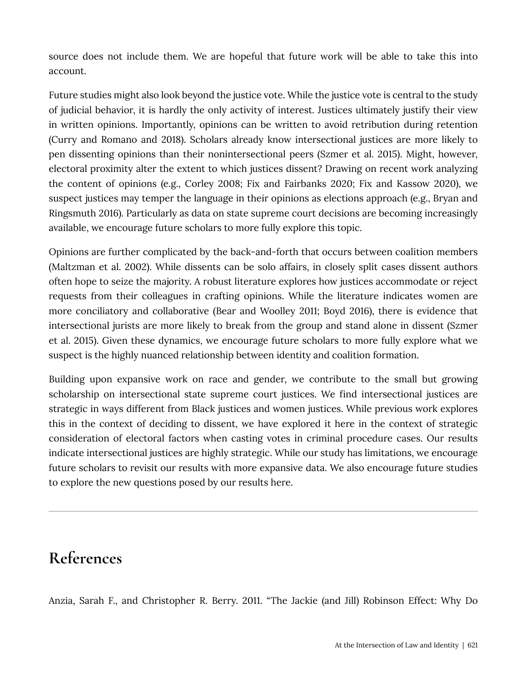source does not include them. We are hopeful that future work will be able to take this into account.

Future studies might also look beyond the justice vote. While the justice vote is central to the study of judicial behavior, it is hardly the only activity of interest. Justices ultimately justify their view in written opinions. Importantly, opinions can be written to avoid retribution during retention (Curry and Romano and 2018). Scholars already know intersectional justices are more likely to pen dissenting opinions than their nonintersectional peers (Szmer et al. 2015). Might, however, electoral proximity alter the extent to which justices dissent? Drawing on recent work analyzing the content of opinions (e.g., Corley 2008; Fix and Fairbanks 2020; Fix and Kassow 2020), we suspect justices may temper the language in their opinions as elections approach (e.g., Bryan and Ringsmuth 2016). Particularly as data on state supreme court decisions are becoming increasingly available, we encourage future scholars to more fully explore this topic.

Opinions are further complicated by the back-and-forth that occurs between coalition members (Maltzman et al. 2002). While dissents can be solo affairs, in closely split cases dissent authors often hope to seize the majority. A robust literature explores how justices accommodate or reject requests from their colleagues in crafting opinions. While the literature indicates women are more conciliatory and collaborative (Bear and Woolley 2011; Boyd 2016), there is evidence that intersectional jurists are more likely to break from the group and stand alone in dissent (Szmer et al. 2015). Given these dynamics, we encourage future scholars to more fully explore what we suspect is the highly nuanced relationship between identity and coalition formation.

Building upon expansive work on race and gender, we contribute to the small but growing scholarship on intersectional state supreme court justices. We find intersectional justices are strategic in ways different from Black justices and women justices. While previous work explores this in the context of deciding to dissent, we have explored it here in the context of strategic consideration of electoral factors when casting votes in criminal procedure cases. Our results indicate intersectional justices are highly strategic. While our study has limitations, we encourage future scholars to revisit our results with more expansive data. We also encourage future studies to explore the new questions posed by our results here.

## **References**

Anzia, Sarah F., and Christopher R. Berry. 2011. "The Jackie (and Jill) Robinson Effect: Why Do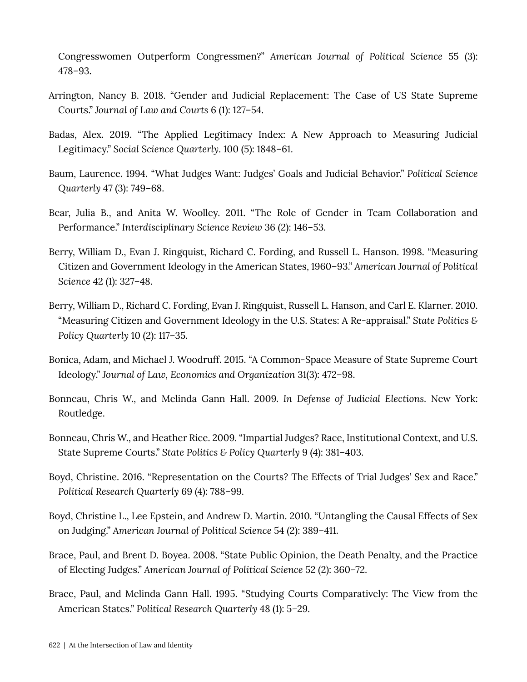Congresswomen Outperform Congressmen?" *American Journal of Political Science* 55 (3): 478–93.

- Arrington, Nancy B. 2018. "Gender and Judicial Replacement: The Case of US State Supreme Courts." *Journal of Law and Courts* 6 (1): 127–54.
- Badas, Alex. 2019. "The Applied Legitimacy Index: A New Approach to Measuring Judicial Legitimacy." *Social Science Quarterly*. 100 (5): 1848–61.
- Baum, Laurence. 1994. "What Judges Want: Judges' Goals and Judicial Behavior." *Political Science Quarterly* 47 (3): 749–68.
- Bear, Julia B., and Anita W. Woolley. 2011. "The Role of Gender in Team Collaboration and Performance." *Interdisciplinary Science Review* 36 (2): 146–53.
- Berry, William D., Evan J. Ringquist, Richard C. Fording, and Russell L. Hanson. 1998. "Measuring Citizen and Government Ideology in the American States, 1960–93." *American Journal of Political Science* 42 (1): 327–48.
- Berry, William D., Richard C. Fording, Evan J. Ringquist, Russell L. Hanson, and Carl E. Klarner. 2010. "Measuring Citizen and Government Ideology in the U.S. States: A Re-appraisal." *State Politics & Policy Quarterly* 10 (2): 117–35.
- Bonica, Adam, and Michael J. Woodruff. 2015. "A Common-Space Measure of State Supreme Court Ideology." *Journal of Law, Economics and Organization* 31(3): 472–98.
- Bonneau, Chris W., and Melinda Gann Hall. 2009. *In Defense of Judicial Elections*. New York: Routledge.
- Bonneau, Chris W., and Heather Rice. 2009. "Impartial Judges? Race, Institutional Context, and U.S. State Supreme Courts." *State Politics & Policy Quarterly* 9 (4): 381–403.
- Boyd, Christine. 2016. "Representation on the Courts? The Effects of Trial Judges' Sex and Race." *Political Research Quarterly* 69 (4): 788–99.
- Boyd, Christine L., Lee Epstein, and Andrew D. Martin. 2010. "Untangling the Causal Effects of Sex on Judging." *American Journal of Political Science* 54 (2): 389–411.
- Brace, Paul, and Brent D. Boyea. 2008. "State Public Opinion, the Death Penalty, and the Practice of Electing Judges." *American Journal of Political Science* 52 (2): 360–72.
- Brace, Paul, and Melinda Gann Hall. 1995. "Studying Courts Comparatively: The View from the American States." *Political Research Quarterly* 48 (1): 5–29.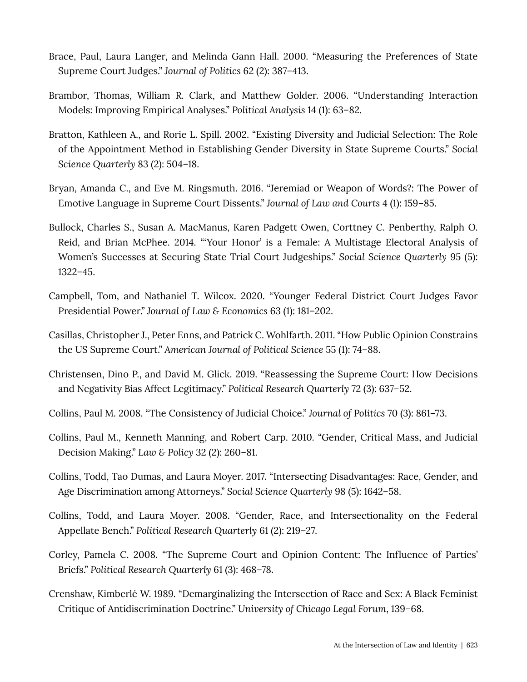- Brace, Paul, Laura Langer, and Melinda Gann Hall. 2000. "Measuring the Preferences of State Supreme Court Judges." *Journal of Politics* 62 (2): 387–413.
- Brambor, Thomas, William R. Clark, and Matthew Golder. 2006. "Understanding Interaction Models: Improving Empirical Analyses." *Political Analysis* 14 (1): 63–82.
- Bratton, Kathleen A., and Rorie L. Spill. 2002. "Existing Diversity and Judicial Selection: The Role of the Appointment Method in Establishing Gender Diversity in State Supreme Courts." *Social Science Quarterly* 83 (2): 504–18.
- Bryan, Amanda C., and Eve M. Ringsmuth. 2016. "Jeremiad or Weapon of Words?: The Power of Emotive Language in Supreme Court Dissents." *Journal of Law and Courts* 4 (1): 159–85.
- Bullock, Charles S., Susan A. MacManus, Karen Padgett Owen, Corttney C. Penberthy, Ralph O. Reid, and Brian McPhee. 2014. "'Your Honor' is a Female: A Multistage Electoral Analysis of Women's Successes at Securing State Trial Court Judgeships." *Social Science Quarterly* 95 (5): 1322–45.
- Campbell, Tom, and Nathaniel T. Wilcox. 2020. "Younger Federal District Court Judges Favor Presidential Power." *Journal of Law & Economics* 63 (1): 181–202.
- Casillas, Christopher J., Peter Enns, and Patrick C. Wohlfarth. 2011. "How Public Opinion Constrains the US Supreme Court." *American Journal of Political Science* 55 (1): 74–88.
- Christensen, Dino P., and David M. Glick. 2019. "Reassessing the Supreme Court: How Decisions and Negativity Bias Affect Legitimacy." *Political Research Quarterly* 72 (3): 637–52.
- Collins, Paul M. 2008. "The Consistency of Judicial Choice." *Journal of Politics* 70 (3): 861–73.
- Collins, Paul M., Kenneth Manning, and Robert Carp. 2010. "Gender, Critical Mass, and Judicial Decision Making." *Law & Policy* 32 (2): 260–81.
- Collins, Todd, Tao Dumas, and Laura Moyer. 2017. "Intersecting Disadvantages: Race, Gender, and Age Discrimination among Attorneys." *Social Science Quarterly* 98 (5): 1642–58.
- Collins, Todd, and Laura Moyer. 2008. "Gender, Race, and Intersectionality on the Federal Appellate Bench." *Political Research Quarterly* 61 (2): 219–27.
- Corley, Pamela C. 2008. "The Supreme Court and Opinion Content: The Influence of Parties' Briefs." *Political Research Quarterly* 61 (3): 468–78.
- Crenshaw, Kimberlé W. 1989. "Demarginalizing the Intersection of Race and Sex: A Black Feminist Critique of Antidiscrimination Doctrine." *University of Chicago Legal Forum*, 139–68.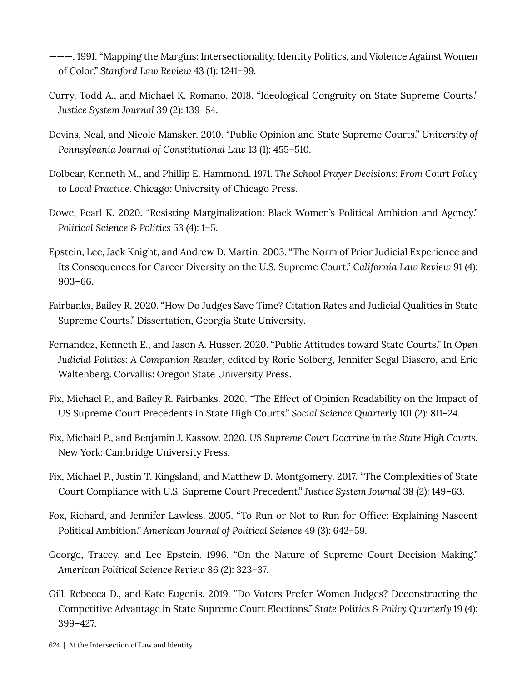———. 1991. "Mapping the Margins: Intersectionality, Identity Politics, and Violence Against Women of Color." *Stanford Law Review* 43 (1): 1241–99.

- Curry, Todd A., and Michael K. Romano. 2018. "Ideological Congruity on State Supreme Courts." *Justice System Journal* 39 (2): 139–54.
- Devins, Neal, and Nicole Mansker. 2010. "Public Opinion and State Supreme Courts." *University of Pennsylvania Journal of Constitutional Law* 13 (1): 455–510.
- Dolbear, Kenneth M., and Phillip E. Hammond. 1971. *The School Prayer Decisions: From Court Policy to Local Practice*. Chicago: University of Chicago Press.
- Dowe, Pearl K. 2020. "Resisting Marginalization: Black Women's Political Ambition and Agency." *Political Science & Politics* 53 (4): 1–5.
- Epstein, Lee, Jack Knight, and Andrew D. Martin. 2003. "The Norm of Prior Judicial Experience and Its Consequences for Career Diversity on the U.S. Supreme Court." *California Law Review* 91 (4): 903–66.
- Fairbanks, Bailey R. 2020. "How Do Judges Save Time? Citation Rates and Judicial Qualities in State Supreme Courts." Dissertation, Georgia State University.
- Fernandez, Kenneth E., and Jason A. Husser. 2020. "Public Attitudes toward State Courts." In *Open Judicial Politics: A Companion Reader*, edited by Rorie Solberg, Jennifer Segal Diascro, and Eric Waltenberg. Corvallis: Oregon State University Press.
- Fix, Michael P., and Bailey R. Fairbanks. 2020. "The Effect of Opinion Readability on the Impact of US Supreme Court Precedents in State High Courts." *Social Science Quarterly* 101 (2): 811–24.
- Fix, Michael P., and Benjamin J. Kassow. 2020. *US Supreme Court Doctrine in the State High Courts*. New York: Cambridge University Press.
- Fix, Michael P., Justin T. Kingsland, and Matthew D. Montgomery. 2017. "The Complexities of State Court Compliance with U.S. Supreme Court Precedent." *Justice System Journal* 38 (2): 149–63.
- Fox, Richard, and Jennifer Lawless. 2005. "To Run or Not to Run for Office: Explaining Nascent Political Ambition." *American Journal of Political Science* 49 (3): 642–59.
- George, Tracey, and Lee Epstein. 1996. "On the Nature of Supreme Court Decision Making." *American Political Science Review* 86 (2): 323–37.
- Gill, Rebecca D., and Kate Eugenis. 2019. "Do Voters Prefer Women Judges? Deconstructing the Competitive Advantage in State Supreme Court Elections." *State Politics & Policy Quarterly* 19 (4): 399–427.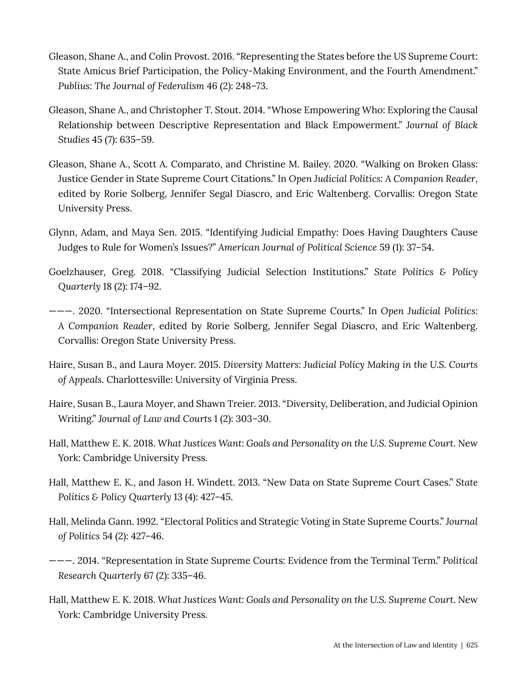- Gleason, Shane A., and Colin Provost. 2016. "Representing the States before the US Supreme Court: State Amicus Brief Participation, the Policy-Making Environment, and the Fourth Amendment." *Publius: The Journal of Federalism* 46 (2): 248–73.
- Gleason, Shane A., and Christopher T. Stout. 2014. "Whose Empowering Who: Exploring the Causal Relationship between Descriptive Representation and Black Empowerment." *Journal of Black Studies* 45 (7): 635–59.
- Gleason, Shane A., Scott A. Comparato, and Christine M. Bailey. 2020. "Walking on Broken Glass: Justice Gender in State Supreme Court Citations." In *Open Judicial Politics: A Companion Reader*, edited by Rorie Solberg, Jennifer Segal Diascro, and Eric Waltenberg. Corvallis: Oregon State University Press.
- Glynn, Adam, and Maya Sen. 2015. "Identifying Judicial Empathy: Does Having Daughters Cause Judges to Rule for Women's Issues?" *American Journal of Political Science* 59 (1): 37–54.
- Goelzhauser, Greg. 2018. "Classifying Judicial Selection Institutions." *State Politics & Policy Quarterly* 18 (2): 174–92.
- ———. 2020. "Intersectional Representation on State Supreme Courts." In *Open Judicial Politics: A Companion Reader*, edited by Rorie Solberg, Jennifer Segal Diascro, and Eric Waltenberg. Corvallis: Oregon State University Press.
- Haire, Susan B., and Laura Moyer. 2015. *Diversity Matters: Judicial Policy Making in the U.S. Courts of Appeals*. Charlottesville: University of Virginia Press.
- Haire, Susan B., Laura Moyer, and Shawn Treier. 2013. "Diversity, Deliberation, and Judicial Opinion Writing." *Journal of Law and Courts* 1 (2): 303–30.
- Hall, Matthew E. K. 2018. *What Justices Want: Goals and Personality on the U.S. Supreme Court*. New York: Cambridge University Press.
- Hall, Matthew E. K., and Jason H. Windett. 2013. "New Data on State Supreme Court Cases." *State Politics & Policy Quarterly* 13 (4): 427–45.
- Hall, Melinda Gann. 1992. "Electoral Politics and Strategic Voting in State Supreme Courts." *Journal of Politics* 54 (2): 427–46.
- ———. 2014. "Representation in State Supreme Courts: Evidence from the Terminal Term." *Political Research Quarterly* 67 (2): 335–46.
- Hall, Matthew E. K. 2018. *What Justices Want: Goals and Personality on the U.S. Supreme Court*. New York: Cambridge University Press.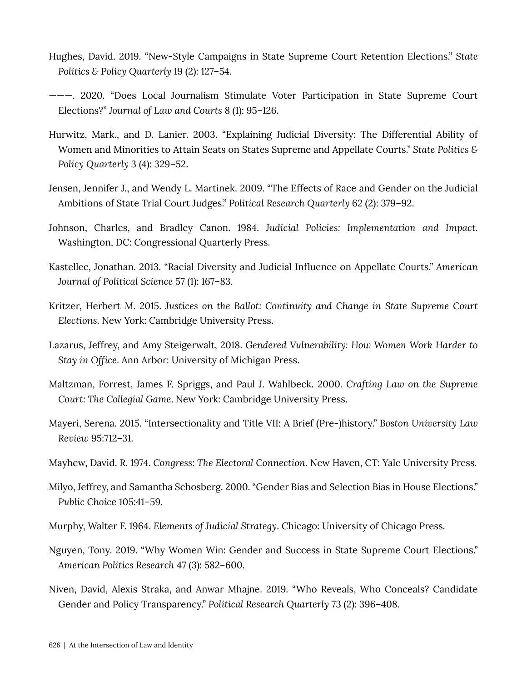- Hughes, David. 2019. "New-Style Campaigns in State Supreme Court Retention Elections." *State Politics & Policy Quarterly* 19 (2): 127–54.
- ———. 2020. "Does Local Journalism Stimulate Voter Participation in State Supreme Court Elections?" *Journal of Law and Courts* 8 (1): 95–126.
- Hurwitz, Mark., and D. Lanier. 2003. "Explaining Judicial Diversity: The Differential Ability of Women and Minorities to Attain Seats on States Supreme and Appellate Courts." *State Politics & Policy Quarterly* 3 (4): 329–52.
- Jensen, Jennifer J., and Wendy L. Martinek. 2009. "The Effects of Race and Gender on the Judicial Ambitions of State Trial Court Judges." *Political Research Quarterly* 62 (2): 379–92.
- Johnson, Charles, and Bradley Canon. 1984. *Judicial Policies: Implementation and Impact*. Washington, DC: Congressional Quarterly Press.
- Kastellec, Jonathan. 2013. "Racial Diversity and Judicial Influence on Appellate Courts." *American Journal of Political Science* 57 (1): 167–83.
- Kritzer, Herbert M. 2015. *Justices on the Ballot: Continuity and Change in State Supreme Court Elections*. New York: Cambridge University Press.
- Lazarus, Jeffrey, and Amy Steigerwalt, 2018. *Gendered Vulnerability: How Women Work Harder to Stay in Office*. Ann Arbor: University of Michigan Press.
- Maltzman, Forrest, James F. Spriggs, and Paul J. Wahlbeck. 2000. *Crafting Law on the Supreme Court: The Collegial Game*. New York: Cambridge University Press.
- Mayeri, Serena. 2015. "Intersectionality and Title VII: A Brief (Pre-)history." *Boston University Law Review* 95:712–31.
- Mayhew, David. R. 1974. *Congress: The Electoral Connection*. New Haven, CT: Yale University Press.
- Milyo, Jeffrey, and Samantha Schosberg. 2000. "Gender Bias and Selection Bias in House Elections." *Public Choic*e 105:41–59.
- Murphy, Walter F. 1964. *Elements of Judicial Strategy*. Chicago: University of Chicago Press.
- Nguyen, Tony. 2019. "Why Women Win: Gender and Success in State Supreme Court Elections." *American Politics Research* 47 (3): 582–600.
- Niven, David, Alexis Straka, and Anwar Mhajne. 2019. "Who Reveals, Who Conceals? Candidate Gender and Policy Transparency." *Political Research Quarterly* 73 (2): 396–408.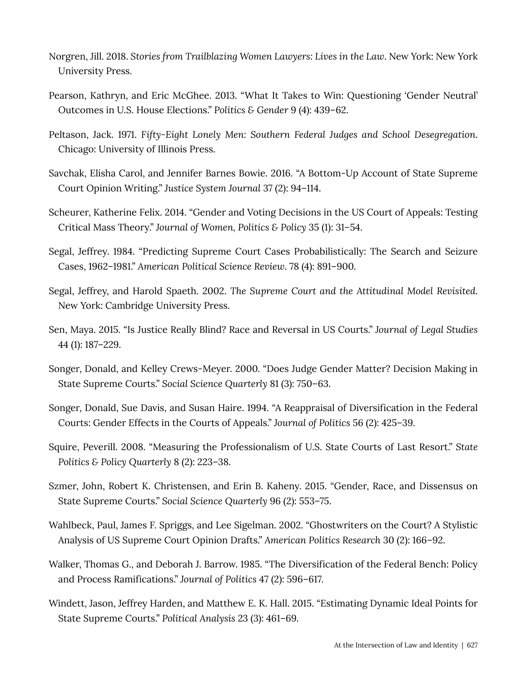- Norgren, Jill. 2018. *Stories from Trailblazing Women Lawyers: Lives in the Law*. New York: New York University Press.
- Pearson, Kathryn, and Eric McGhee. 2013. "What It Takes to Win: Questioning 'Gender Neutral' Outcomes in U.S. House Elections." *Politics & Gender* 9 (4): 439–62.
- Peltason, Jack. 1971. *Fifty-Eight Lonely Men: Southern Federal Judges and School Desegregation*. Chicago: University of Illinois Press.
- Savchak, Elisha Carol, and Jennifer Barnes Bowie. 2016. "A Bottom-Up Account of State Supreme Court Opinion Writing." *Justice System Journal* 37 (2): 94–114.
- Scheurer, Katherine Felix. 2014. "Gender and Voting Decisions in the US Court of Appeals: Testing Critical Mass Theory." *Journal of Women, Politics & Policy* 35 (1): 31–54.
- Segal, Jeffrey. 1984. "Predicting Supreme Court Cases Probabilistically: The Search and Seizure Cases, 1962–1981." *American Political Science Review*. 78 (4): 891–900.
- Segal, Jeffrey, and Harold Spaeth. 2002. *The Supreme Court and the Attitudinal Model Revisited*. New York: Cambridge University Press.
- Sen, Maya. 2015. "Is Justice Really Blind? Race and Reversal in US Courts." *Journal of Legal Studies* 44 (1): 187–229.
- Songer, Donald, and Kelley Crews-Meyer. 2000. "Does Judge Gender Matter? Decision Making in State Supreme Courts." *Social Science Quarterly* 81 (3): 750–63.
- Songer, Donald, Sue Davis, and Susan Haire. 1994. "A Reappraisal of Diversification in the Federal Courts: Gender Effects in the Courts of Appeals." *Journal of Politics* 56 (2): 425–39.
- Squire, Peverill. 2008. "Measuring the Professionalism of U.S. State Courts of Last Resort." *State Politics & Policy Quarterly* 8 (2): 223–38.
- Szmer, John, Robert K. Christensen, and Erin B. Kaheny. 2015. "Gender, Race, and Dissensus on State Supreme Courts." *Social Science Quarterly* 96 (2): 553–75.
- Wahlbeck, Paul, James F. Spriggs, and Lee Sigelman. 2002. "Ghostwriters on the Court? A Stylistic Analysis of US Supreme Court Opinion Drafts." *American Politics Research* 30 (2): 166–92.
- Walker, Thomas G., and Deborah J. Barrow. 1985. "The Diversification of the Federal Bench: Policy and Process Ramifications." *Journal of Politics* 47 (2): 596–617.
- Windett, Jason, Jeffrey Harden, and Matthew E. K. Hall. 2015. "Estimating Dynamic Ideal Points for State Supreme Courts." *Political Analysis* 23 (3): 461–69.